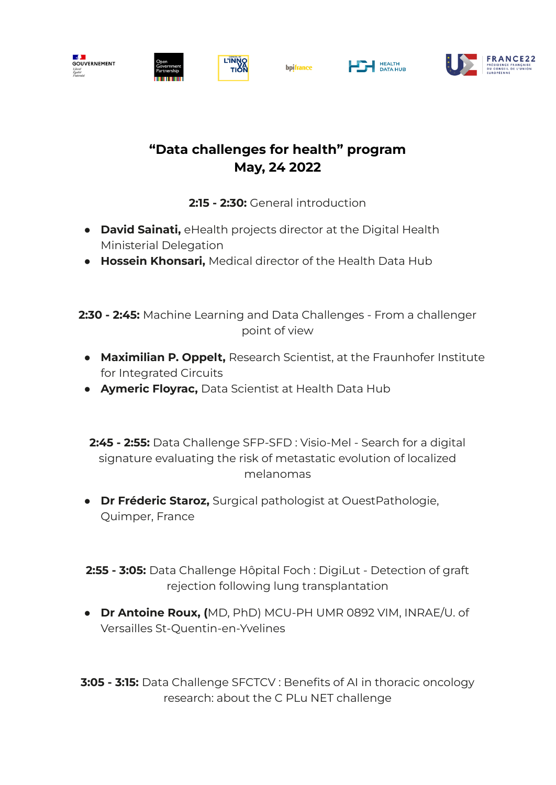



**Del** HEALTH



## **"Data challenges for health" program May, 24 2022**

**2:15 - 2:30:** General introduction

- **● David Sainati,** eHealth projects director at the Digital Health Ministerial Delegation
- **● Hossein Khonsari,** Medical director of the Health Data Hub

**2:30 - 2:45:** Machine Learning and Data Challenges - From a challenger point of view

- **● Maximilian P. Oppelt,** Research Scientist, at the Fraunhofer Institute for Integrated Circuits
- **● Aymeric Floyrac,** Data Scientist at Health Data Hub

**2:45 - 2:55:** Data Challenge SFP-SFD : Visio-Mel - Search for a digital signature evaluating the risk of metastatic evolution of localized melanomas

- **● Dr Fréderic Staroz,** Surgical pathologist at OuestPathologie, Quimper, France
- **2:55 - 3:05:** Data Challenge Hôpital Foch : DigiLut Detection of graft rejection following lung transplantation
- **● Dr Antoine Roux, (**MD, PhD) MCU-PH UMR 0892 VIM, INRAE/U. of Versailles St-Quentin-en-Yvelines

**3:05 - 3:15:** Data Challenge SFCTCV : Benefits of AI in thoracic oncology research: about the C PLu NET challenge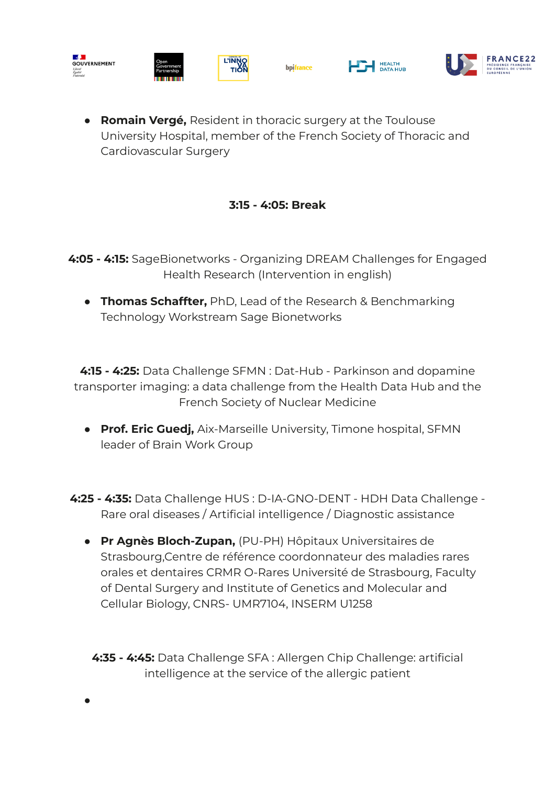

**● Romain Vergé,** Resident in thoracic surgery at the Toulouse University Hospital, member of the French Society of Thoracic and Cardiovascular Surgery

## **3:15 - 4:05: Break**

**4:05 - 4:15:** SageBionetworks - Organizing DREAM Challenges for Engaged Health Research (Intervention in english)

**● Thomas Schaffter,** PhD, Lead of the Research & Benchmarking Technology Workstream Sage Bionetworks

**4:15 - 4:25:** Data Challenge SFMN : Dat-Hub - Parkinson and dopamine transporter imaging: a data challenge from the Health Data Hub and the French Society of Nuclear Medicine

- **● Prof. Eric Guedj,** Aix-Marseille University, Timone hospital, SFMN leader of Brain Work Group
- **4:25 - 4:35:** Data Challenge HUS : D-IA-GNO-DENT HDH Data Challenge Rare oral diseases / Artificial intelligence / Diagnostic assistance
	- **● Pr Agnès Bloch-Zupan,** (PU-PH) Hôpitaux Universitaires de Strasbourg,Centre de référence coordonnateur des maladies rares orales et dentaires CRMR O-Rares Université de Strasbourg, Faculty of Dental Surgery and Institute of Genetics and Molecular and Cellular Biology, CNRS- UMR7104, INSERM U1258

**4:35 - 4:45:** Data Challenge SFA : Allergen Chip Challenge: artificial intelligence at the service of the allergic patient

**●**